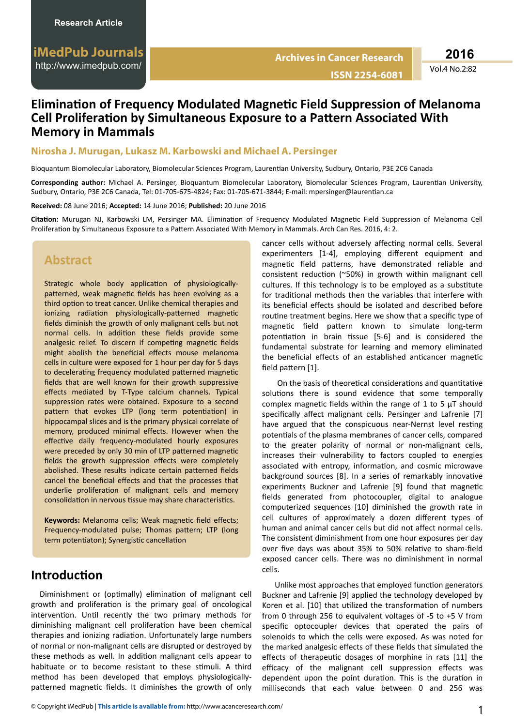# **Elimination of Frequency Modulated Magnetic Field Suppression of Melanoma Cell Proliferation by Simultaneous Exposure to a Pattern Associated With Memory in Mammals**

#### **Nirosha J. Murugan, Lukasz M. Karbowski and Michael A. Persinger**

Bioquantum Biomolecular Laboratory, Biomolecular Sciences Program, Laurentian University, Sudbury, Ontario, P3E 2C6 Canada

Corresponding author: Michael A. Persinger, Bioquantum Biomolecular Laboratory, Biomolecular Sciences Program, Laurentian University, Sudbury, Ontario, P3E 2C6 Canada, Tel: 01-705-675-4824; Fax: 01-705-671-3844; E-mail: mpersinger@laurentian.ca

**Received:** 08 June 2016; **Accepted:** 14 June 2016; **Published:** 20 June 2016

Citation: Murugan NJ, Karbowski LM, Persinger MA. Elimination of Frequency Modulated Magnetic Field Suppression of Melanoma Cell Proliferation by Simultaneous Exposure to a Pattern Associated With Memory in Mammals. Arch Can Res. 2016, 4: 2.

# **Abstract**

Strategic whole body application of physiologicallypatterned, weak magnetic fields has been evolving as a third option to treat cancer. Unlike chemical therapies and ionizing radiation physiologically-patterned magnetic fields diminish the growth of only malignant cells but not normal cells. In addition these fields provide some analgesic relief. To discern if competing magnetic fields might abolish the beneficial effects mouse melanoma cells in culture were exposed for 1 hour per day for 5 days to decelerating frequency modulated patterned magnetic fields that are well known for their growth suppressive effects mediated by T-Type calcium channels. Typical suppression rates were obtained. Exposure to a second pattern that evokes LTP (long term potentiation) in hippocampal slices and is the primary physical correlate of memory, produced minimal effects. However when the effective daily frequency-modulated hourly exposures were preceded by only 30 min of LTP patterned magnetic fields the growth suppression effects were completely abolished. These results indicate certain patterned fields cancel the beneficial effects and that the processes that underlie proliferation of malignant cells and memory consolidation in nervous tissue may share characteristics.

Keywords: Melanoma cells; Weak magnetic field effects; Frequency-modulated pulse; Thomas pattern; LTP (long term potentiaton); Synergistic cancellation

## **Introduction**

Diminishment or (optimally) elimination of malignant cell growth and proliferation is the primary goal of oncological intervention. Until recently the two primary methods for diminishing malignant cell proliferation have been chemical therapies and ionizing radiation. Unfortunately large numbers of normal or non-malignant cells are disrupted or destroyed by these methods as well. In addition malignant cells appear to habituate or to become resistant to these stimuli. A third method has been developed that employs physiologicallypatterned magnetic fields. It diminishes the growth of only cancer cells without adversely affecting normal cells. Several experimenters [1-4], employing different equipment and magnetic field patterns, have demonstrated reliable and consistent reduction (~50%) in growth within malignant cell cultures. If this technology is to be employed as a substitute for traditional methods then the variables that interfere with its beneficial effects should be isolated and described before routine treatment begins. Here we show that a specific type of magnetic field pattern known to simulate long-term potentiation in brain tissue [5-6] and is considered the fundamental substrate for learning and memory eliminated the beneficial effects of an established anticancer magnetic field pattern [1].

On the basis of theoretical considerations and quantitative solutions there is sound evidence that some temporally complex magnetic fields within the range of 1 to 5  $\mu$ T should specifically affect malignant cells. Persinger and Lafrenie [7] have argued that the conspicuous near-Nernst level resting potentials of the plasma membranes of cancer cells, compared to the greater polarity of normal or non-malignant cells, increases their vulnerability to factors coupled to energies associated with entropy, information, and cosmic microwave background sources [8]. In a series of remarkably innovative experiments Buckner and Lafrenie [9] found that magnetic fields generated from photocoupler, digital to analogue computerized sequences [10] diminished the growth rate in cell cultures of approximately a dozen different types of human and animal cancer cells but did not affect normal cells. The consistent diminishment from one hour exposures per day over five days was about 35% to 50% relative to sham-field exposed cancer cells. There was no diminishment in normal cells.

Unlike most approaches that employed function generators Buckner and Lafrenie [9] applied the technology developed by Koren et al. [10] that utilized the transformation of numbers from 0 through 256 to equivalent voltages of -5 to +5 V from specific optocoupler devices that operated the pairs of solenoids to which the cells were exposed. As was noted for the marked analgesic effects of these fields that simulated the effects of therapeutic dosages of morphine in rats [11] the efficacy of the malignant cell suppression effects was dependent upon the point duration. This is the duration in milliseconds that each value between 0 and 256 was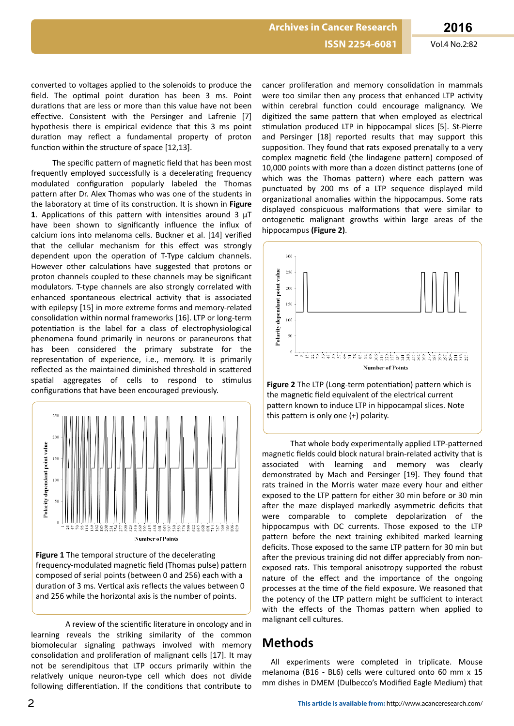#### **ISSN 2254-6081** Vol.4 No.2:82

converted to voltages applied to the solenoids to produce the field. The optimal point duration has been 3 ms. Point durations that are less or more than this value have not been effective. Consistent with the Persinger and Lafrenie [7] hypothesis there is empirical evidence that this 3 ms point duration may reflect a fundamental property of proton function within the structure of space [12,13].

The specific pattern of magnetic field that has been most frequently employed successfully is a decelerating frequency modulated configuration popularly labeled the Thomas pattern after Dr. Alex Thomas who was one of the students in the laboratory at time of its construction. It is shown in **Figure 1**. Applications of this pattern with intensities around 3 μT have been shown to significantly influence the influx of calcium ions into melanoma cells. Buckner et al. [14] verified that the cellular mechanism for this effect was strongly dependent upon the operation of T-Type calcium channels. However other calculations have suggested that protons or proton channels coupled to these channels may be significant modulators. T-type channels are also strongly correlated with enhanced spontaneous electrical activity that is associated with epilepsy [15] in more extreme forms and memory-related consolidation within normal frameworks [16]. LTP or long-term potentiation is the label for a class of electrophysiological phenomena found primarily in neurons or paraneurons that has been considered the primary substrate for the representation of experience, i.e., memory. It is primarily reflected as the maintained diminished threshold in scattered spatial aggregates of cells to respond to stimulus configurations that have been encouraged previously.



A review of the scientific literature in oncology and in learning reveals the striking similarity of the common biomolecular signaling pathways involved with memory consolidation and proliferation of malignant cells [17]. It may not be serendipitous that LTP occurs primarily within the relatively unique neuron-type cell which does not divide following differentiation. If the conditions that contribute to

cancer proliferation and memory consolidation in mammals were too similar then any process that enhanced LTP activity within cerebral function could encourage malignancy. We digitized the same pattern that when employed as electrical stimulation produced LTP in hippocampal slices [5]. St-Pierre and Persinger [18] reported results that may support this supposition. They found that rats exposed prenatally to a very complex magnetic field (the lindagene pattern) composed of 10,000 points with more than a dozen distinct patterns (one of which was the Thomas pattern) where each pattern was punctuated by 200 ms of a LTP sequence displayed mild organizational anomalies within the hippocampus. Some rats displayed conspicuous malformations that were similar to ontogenetic malignant growths within large areas of the hippocampus **(Figure 2)**.



**Figure 2** The LTP (Long-term potentiation) pattern which is the magnetic field equivalent of the electrical current pattern known to induce LTP in hippocampal slices. Note this pattern is only one  $(+)$  polarity.

That whole body experimentally applied LTP-patterned magnetic fields could block natural brain-related activity that is associated with learning and memory was clearly demonstrated by Mach and Persinger [19]. They found that rats trained in the Morris water maze every hour and either exposed to the LTP pattern for either 30 min before or 30 min after the maze displayed markedly asymmetric deficits that were comparable to complete depolarization of the hippocampus with DC currents. Those exposed to the LTP pattern before the next training exhibited marked learning deficits. Those exposed to the same LTP pattern for 30 min but after the previous training did not differ appreciably from nonexposed rats. This temporal anisotropy supported the robust nature of the effect and the importance of the ongoing processes at the time of the field exposure. We reasoned that the potency of the LTP pattern might be sufficient to interact with the effects of the Thomas pattern when applied to malignant cell cultures.

### **Methods**

All experiments were completed in triplicate. Mouse melanoma (B16 - BL6) cells were cultured onto 60 mm x 15 mm dishes in DMEM (Dulbecco's Modified Eagle Medium) that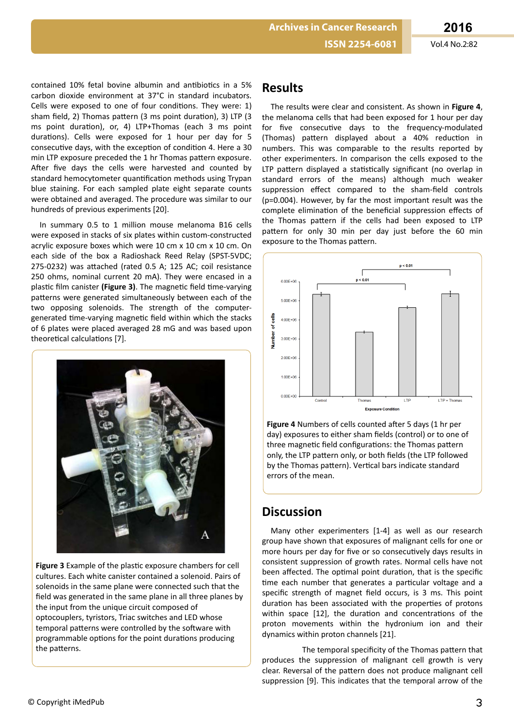**ISSN 2254-6081** Vol.4 No.2:82

contained 10% fetal bovine albumin and antibiotics in a 5% carbon dioxide environment at 37°C in standard incubators. Cells were exposed to one of four conditions. They were: 1) sham field, 2) Thomas pattern (3 ms point duration), 3) LTP (3) ms point duration), or, 4) LTP+Thomas (each 3 ms point durations). Cells were exposed for 1 hour per day for 5 consecutive days, with the exception of condition 4. Here a 30 min LTP exposure preceded the 1 hr Thomas pattern exposure. After five days the cells were harvested and counted by standard hemocytometer quantification methods using Trypan blue staining. For each sampled plate eight separate counts were obtained and averaged. The procedure was similar to our hundreds of previous experiments [20].

In summary 0.5 to 1 million mouse melanoma B16 cells were exposed in stacks of six plates within custom-constructed acrylic exposure boxes which were 10 cm x 10 cm x 10 cm. On each side of the box a Radioshack Reed Relay (SPST-5VDC; 275-0232) was attached (rated 0.5 A; 125 AC; coil resistance 250 ohms, nominal current 20 mA). They were encased in a plastic film canister (Figure 3). The magnetic field time-varying patterns were generated simultaneously between each of the two opposing solenoids. The strength of the computergenerated time-varying magnetic field within which the stacks of 6 plates were placed averaged 28 mG and was based upon theoretical calculations [7].



**Figure 3** Example of the plastic exposure chambers for cell cultures. Each white canister contained a solenoid. Pairs of solenoids in the same plane were connected such that the field was generated in the same plane in all three planes by the input from the unique circuit composed of optocouplers, tyristors, Triac switches and LED whose temporal patterns were controlled by the software with programmable options for the point durations producing the patterns.

#### **Results**

The results were clear and consistent. As shown in **Figure 4**, the melanoma cells that had been exposed for 1 hour per day for five consecutive days to the frequency-modulated (Thomas) pattern displayed about a 40% reduction in numbers. This was comparable to the results reported by other experimenters. In comparison the cells exposed to the LTP pattern displayed a statistically significant (no overlap in standard errors of the means) although much weaker suppression effect compared to the sham-field controls (p=0.004). However, by far the most important result was the complete elimination of the beneficial suppression effects of the Thomas pattern if the cells had been exposed to LTP pattern for only 30 min per day just before the 60 min exposure to the Thomas pattern.



**Figure 4** Numbers of cells counted after 5 days (1 hr per day) exposures to either sham fields (control) or to one of three magnetic field configurations: the Thomas pattern only, the LTP pattern only, or both fields (the LTP followed by the Thomas pattern). Vertical bars indicate standard errors of the mean.

# **Discussion**

Many other experimenters [1-4] as well as our research group have shown that exposures of malignant cells for one or more hours per day for five or so consecutively days results in consistent suppression of growth rates. Normal cells have not been affected. The optimal point duration, that is the specific time each number that generates a particular voltage and a specific strength of magnet field occurs, is 3 ms. This point duration has been associated with the properties of protons within space [12], the duration and concentrations of the proton movements within the hydronium ion and their dynamics within proton channels [21].

The temporal specificity of the Thomas pattern that produces the suppression of malignant cell growth is very clear. Reversal of the pattern does not produce malignant cell suppression [9]. This indicates that the temporal arrow of the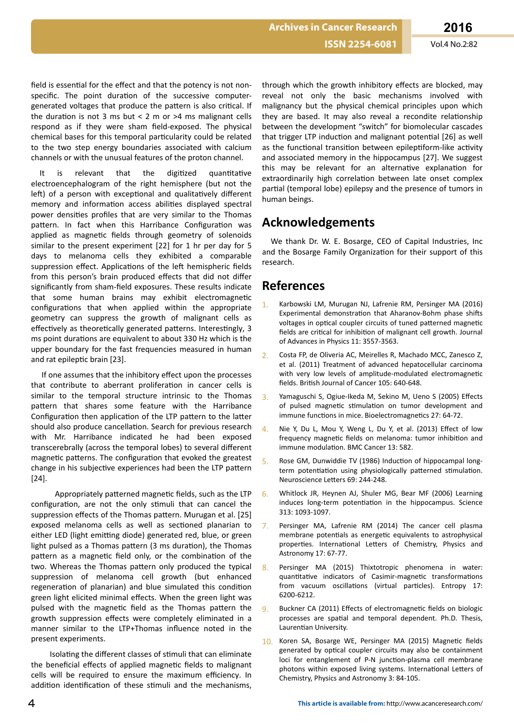field is essential for the effect and that the potency is not nonspecific. The point duration of the successive computergenerated voltages that produce the pattern is also critical. If the duration is not 3 ms but  $<$  2 m or >4 ms malignant cells respond as if they were sham field-exposed. The physical chemical bases for this temporal particularity could be related to the two step energy boundaries associated with calcium channels or with the unusual features of the proton channel.

It is relevant that the digitized quantitative electroencephalogram of the right hemisphere (but not the left) of a person with exceptional and qualitatively different memory and information access abilities displayed spectral power densities profiles that are very similar to the Thomas pattern. In fact when this Harribance Configuration was applied as magnetic fields through geometry of solenoids similar to the present experiment [22] for 1 hr per day for 5 days to melanoma cells they exhibited a comparable suppression effect. Applications of the left hemispheric fields from this person's brain produced effects that did not differ significantly from sham-field exposures. These results indicate that some human brains may exhibit electromagnetic configurations that when applied within the appropriate geometry can suppress the growth of malignant cells as effectively as theoretically generated patterns. Interestingly, 3 ms point durations are equivalent to about 330 Hz which is the upper boundary for the fast frequencies measured in human and rat epileptic brain [23].

If one assumes that the inhibitory effect upon the processes that contribute to aberrant proliferation in cancer cells is similar to the temporal structure intrinsic to the Thomas pattern that shares some feature with the Harribance Configuration then application of the LTP pattern to the latter should also produce cancellation. Search for previous research with Mr. Harribance indicated he had been exposed transcerebrally (across the temporal lobes) to several different magnetic patterns. The configuration that evoked the greatest change in his subjective experiences had been the LTP pattern [24].

Appropriately patterned magnetic fields, such as the LTP configuration, are not the only stimuli that can cancel the suppression effects of the Thomas pattern. Murugan et al. [25] exposed melanoma cells as well as sectioned planarian to either LED (light emitting diode) generated red, blue, or green light pulsed as a Thomas pattern (3 ms duration), the Thomas pattern as a magnetic field only, or the combination of the two. Whereas the Thomas pattern only produced the typical suppression of melanoma cell growth (but enhanced regeneration of planarian) and blue simulated this condition green light elicited minimal effects. When the green light was pulsed with the magnetic field as the Thomas pattern the growth suppression effects were completely eliminated in a manner similar to the LTP+Thomas influence noted in the present experiments.

Isolating the different classes of stimuli that can eliminate the beneficial effects of applied magnetic fields to malignant cells will be required to ensure the maximum efficiency. In addition identification of these stimuli and the mechanisms, through which the growth inhibitory effects are blocked, may reveal not only the basic mechanisms involved with malignancy but the physical chemical principles upon which they are based. It may also reveal a recondite relationship between the development "switch" for biomolecular cascades that trigger LTP induction and malignant potential [26] as well as the functional transition between epileptiform-like activity and associated memory in the hippocampus [27]. We suggest this may be relevant for an alternative explanation for extraordinarily high correlation between late onset complex partial (temporal lobe) epilepsy and the presence of tumors in human beings.

# **Acknowledgements**

We thank Dr. W. E. Bosarge, CEO of Capital Industries, Inc and the Bosarge Family Organization for their support of this research.

# **References**

- 1. Karbowski LM, Murugan NJ, Lafrenie RM, Persinger MA (2016) Experimental demonstration that Aharanov-Bohm phase shifts voltages in optical coupler circuits of tuned patterned magnetic fields are critical for inhibition of malignant cell growth. Journal of Advances in Physics 11: 3557-3563.
- 2. Costa FP, de Oliveria AC, Meirelles R, Machado MCC, Zanesco Z, et al. (2011) Treatment of advanced hepatocellular carcinoma with very low levels of amplitude-modulated electromagnetic fields. British Journal of Cancer 105: 640-648.
- 3. Yamaguschi S, Ogiue-Ikeda M, Sekino M, Ueno S (2005) Effects of pulsed magnetic stimulation on tumor development and immune functions in mice. Bioelectromagnetics 27: 64-72.
- 4. Nie Y, Du L, Mou Y, Weng L, Du Y, et al. (2013) Effect of low frequency magnetic fields on melanoma: tumor inhibition and immune modulation. BMC Cancer 13: 582.
- 5. Rose GM, Dunwiddie TV (1986) Induction of hippocampal longterm potentiation using physiologically patterned stimulation. Neuroscience Letters 69: 244-248.
- 6. Whitlock JR, Heynen AJ, Shuler MG, Bear MF (2006) Learning induces long-term potentiation in the hippocampus. Science 313: 1093-1097.
- 7. Persinger MA, Lafrenie RM (2014) The cancer cell plasma membrane potentials as energetic equivalents to astrophysical properties. International Letters of Chemistry, Physics and Astronomy 17: 67-77.
- 8. Persinger MA (2015) Thixtotropic phenomena in water: quantitative indicators of Casimir-magnetic transformations from vacuum oscillations (virtual particles). Entropy 17: 6200-6212.
- 9. Buckner CA (2011) Effects of electromagnetic fields on biologic processes are spatial and temporal dependent. Ph.D. Thesis, Laurentian University.
- 10. Koren SA, Bosarge WE, Persinger MA (2015) Magnetic fields generated by optical coupler circuits may also be containment loci for entanglement of P-N junction-plasma cell membrane photons within exposed living systems. International Letters of Chemistry, Physics and Astronomy 3: 84-105.